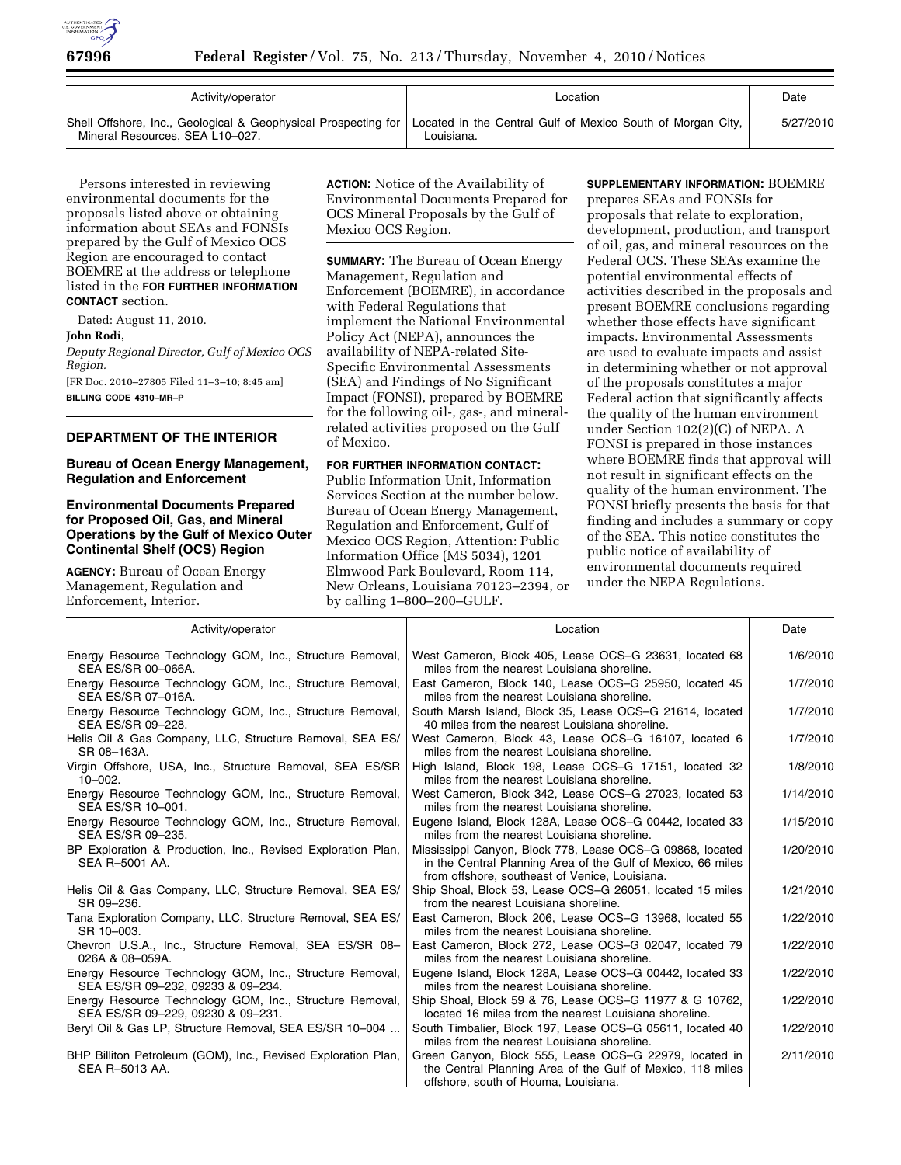

| Activity/operator                                                                                                                                               | Location   | Date      |
|-----------------------------------------------------------------------------------------------------------------------------------------------------------------|------------|-----------|
| Shell Offshore, Inc., Geological & Geophysical Prospecting for   Located in the Central Gulf of Mexico South of Morgan City,<br>Mineral Resources, SEA L10-027. | Louisiana. | 5/27/2010 |

Persons interested in reviewing environmental documents for the proposals listed above or obtaining information about SEAs and FONSIs prepared by the Gulf of Mexico OCS Region are encouraged to contact BOEMRE at the address or telephone listed in the **FOR FURTHER INFORMATION CONTACT** section.

Dated: August 11, 2010.

#### **John Rodi,**

*Deputy Regional Director, Gulf of Mexico OCS Region.* 

[FR Doc. 2010–27805 Filed 11–3–10; 8:45 am] **BILLING CODE 4310–MR–P** 

**DEPARTMENT OF THE INTERIOR** 

# **Bureau of Ocean Energy Management, Regulation and Enforcement**

# **Environmental Documents Prepared for Proposed Oil, Gas, and Mineral Operations by the Gulf of Mexico Outer Continental Shelf (OCS) Region**

**AGENCY:** Bureau of Ocean Energy Management, Regulation and Enforcement, Interior.

**ACTION:** Notice of the Availability of Environmental Documents Prepared for OCS Mineral Proposals by the Gulf of Mexico OCS Region.

**SUMMARY:** The Bureau of Ocean Energy Management, Regulation and Enforcement (BOEMRE), in accordance with Federal Regulations that implement the National Environmental Policy Act (NEPA), announces the availability of NEPA-related Site-Specific Environmental Assessments (SEA) and Findings of No Significant Impact (FONSI), prepared by BOEMRE for the following oil-, gas-, and mineralrelated activities proposed on the Gulf of Mexico.

### **FOR FURTHER INFORMATION CONTACT:**

Public Information Unit, Information Services Section at the number below. Bureau of Ocean Energy Management, Regulation and Enforcement, Gulf of Mexico OCS Region, Attention: Public Information Office (MS 5034), 1201 Elmwood Park Boulevard, Room 114, New Orleans, Louisiana 70123–2394, or by calling 1–800–200–GULF.

### **SUPPLEMENTARY INFORMATION:** BOEMRE

prepares SEAs and FONSIs for proposals that relate to exploration, development, production, and transport of oil, gas, and mineral resources on the Federal OCS. These SEAs examine the potential environmental effects of activities described in the proposals and present BOEMRE conclusions regarding whether those effects have significant impacts. Environmental Assessments are used to evaluate impacts and assist in determining whether or not approval of the proposals constitutes a major Federal action that significantly affects the quality of the human environment under Section 102(2)(C) of NEPA. A FONSI is prepared in those instances where BOEMRE finds that approval will not result in significant effects on the quality of the human environment. The FONSI briefly presents the basis for that finding and includes a summary or copy of the SEA. This notice constitutes the public notice of availability of environmental documents required under the NEPA Regulations.

| Activity/operator                                                                             | Location                                                                                                                                                                    | Date      |
|-----------------------------------------------------------------------------------------------|-----------------------------------------------------------------------------------------------------------------------------------------------------------------------------|-----------|
| Energy Resource Technology GOM, Inc., Structure Removal,<br>SEA ES/SR 00-066A.                | West Cameron, Block 405, Lease OCS-G 23631, located 68<br>miles from the nearest Louisiana shoreline.                                                                       | 1/6/2010  |
| Energy Resource Technology GOM, Inc., Structure Removal,<br>SEA ES/SR 07-016A.                | East Cameron, Block 140, Lease OCS-G 25950, located 45<br>miles from the nearest Louisiana shoreline.                                                                       | 1/7/2010  |
| Energy Resource Technology GOM, Inc., Structure Removal,<br>SEA ES/SR 09-228.                 | South Marsh Island, Block 35, Lease OCS-G 21614, located<br>40 miles from the nearest Louisiana shoreline.                                                                  | 1/7/2010  |
| Helis Oil & Gas Company, LLC, Structure Removal, SEA ES/<br>SR 08-163A.                       | West Cameron, Block 43, Lease OCS-G 16107, located 6<br>miles from the nearest Louisiana shoreline.                                                                         | 1/7/2010  |
| Virgin Offshore, USA, Inc., Structure Removal, SEA ES/SR<br>$10 - 002.$                       | High Island, Block 198, Lease OCS-G 17151, located 32<br>miles from the nearest Louisiana shoreline.                                                                        | 1/8/2010  |
| Energy Resource Technology GOM, Inc., Structure Removal,<br>SEA ES/SR 10-001.                 | West Cameron, Block 342, Lease OCS-G 27023, located 53<br>miles from the nearest Louisiana shoreline.                                                                       | 1/14/2010 |
| Energy Resource Technology GOM, Inc., Structure Removal,<br>SEA ES/SR 09-235.                 | Eugene Island, Block 128A, Lease OCS-G 00442, located 33<br>miles from the nearest Louisiana shoreline.                                                                     | 1/15/2010 |
| BP Exploration & Production, Inc., Revised Exploration Plan,<br>SEA R-5001 AA.                | Mississippi Canyon, Block 778, Lease OCS-G 09868, located<br>in the Central Planning Area of the Gulf of Mexico, 66 miles<br>from offshore, southeast of Venice, Louisiana. | 1/20/2010 |
| Helis Oil & Gas Company, LLC, Structure Removal, SEA ES/<br>SR 09-236.                        | Ship Shoal, Block 53, Lease OCS-G 26051, located 15 miles<br>from the nearest Louisiana shoreline.                                                                          | 1/21/2010 |
| Tana Exploration Company, LLC, Structure Removal, SEA ES/<br>SR 10-003.                       | East Cameron, Block 206, Lease OCS-G 13968, located 55<br>miles from the nearest Louisiana shoreline.                                                                       | 1/22/2010 |
| Chevron U.S.A., Inc., Structure Removal, SEA ES/SR 08-<br>026A & 08-059A.                     | East Cameron, Block 272, Lease OCS-G 02047, located 79<br>miles from the nearest Louisiana shoreline.                                                                       | 1/22/2010 |
| Energy Resource Technology GOM, Inc., Structure Removal,<br>SEA ES/SR 09-232, 09233 & 09-234. | Eugene Island, Block 128A, Lease OCS-G 00442, located 33<br>miles from the nearest Louisiana shoreline.                                                                     | 1/22/2010 |
| Energy Resource Technology GOM, Inc., Structure Removal,<br>SEA ES/SR 09-229, 09230 & 09-231. | Ship Shoal, Block 59 & 76, Lease OCS-G 11977 & G 10762,<br>located 16 miles from the nearest Louisiana shoreline.                                                           | 1/22/2010 |
| Beryl Oil & Gas LP, Structure Removal, SEA ES/SR 10-004                                       | South Timbalier, Block 197, Lease OCS-G 05611, located 40<br>miles from the nearest Louisiana shoreline.                                                                    | 1/22/2010 |
| BHP Billiton Petroleum (GOM), Inc., Revised Exploration Plan,<br>SEA R-5013 AA.               | Green Canyon, Block 555, Lease OCS-G 22979, located in<br>the Central Planning Area of the Gulf of Mexico, 118 miles<br>offshore, south of Houma, Louisiana.                | 2/11/2010 |